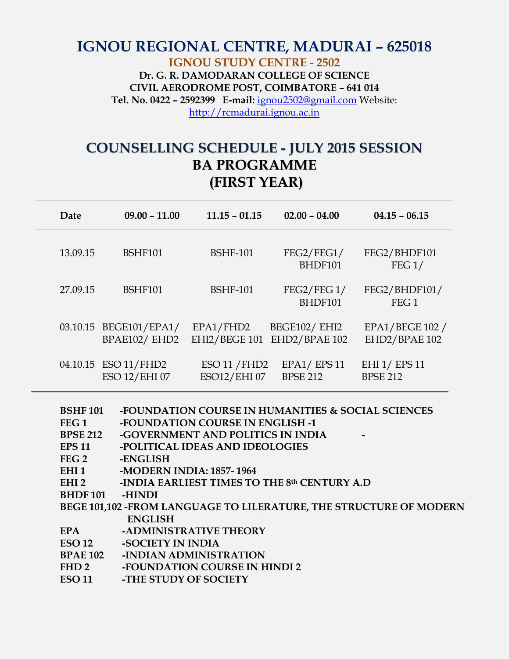## **IGNOU REGIONAL CENTRE, MADURAI – 625018 IGNOU STUDY CENTRE - 2502 Dr. G. R. DAMODARAN COLLEGE OF SCIENCE CIVIL AERODROME POST, COIMBATORE – 641 014 Tel. No. 0422 – 2592399 E-mail:** [ignou2502@gmail.com](mailto:ignou2502@gmail.com) Website: [http://rcmadurai.ignou.ac.in](http://rcmadurai.ignou.ac.in/)

## **COUNSELLING SCHEDULE - JULY 2015 SESSION BA PROGRAMME (FIRST YEAR)**

| Date     | $09.00 - 11.00$                        | $11.15 - 01.15$              | $02.00 - 04.00$                       | $04.15 - 06.15$                   |
|----------|----------------------------------------|------------------------------|---------------------------------------|-----------------------------------|
| 13.09.15 | <b>BSHF101</b>                         | <b>BSHF-101</b>              | FEG2/FEG1/<br>BHDF101                 | FEG2/BHDF101<br>FEG1/             |
| 27.09.15 | <b>BSHF101</b>                         | <b>BSHF-101</b>              | FEG2/FEG1/<br>BHDF101                 | FEG2/BHDF101/<br>FEG <sub>1</sub> |
|          | 03.10.15 BEGE101/EPA1/<br>BPAE102/EHD2 | EPA1/FHD2<br>EHI2/BEGE 101   | <b>BEGE102/ EHI2</b><br>EHD2/BPAE 102 | EPA1/BEGE 102 /<br>EHD2/BPAE 102  |
|          | 04.10.15 ESO 11/FHD2<br>ESO 12/EHI 07  | ESO 11 / FHD2<br>ESO12/EHI07 | $EPA1/$ $EPS11$<br><b>BPSE 212</b>    | EHI 1/ EPS 11<br><b>BPSE 212</b>  |

| <b>BSHF101</b>                                                     | -FOUNDATION COURSE IN HUMANITIES & SOCIAL SCIENCES |  |  |  |
|--------------------------------------------------------------------|----------------------------------------------------|--|--|--|
| FEG <sub>1</sub>                                                   | <b>-FOUNDATION COURSE IN ENGLISH -1</b>            |  |  |  |
| <b>BPSE 212</b>                                                    | -GOVERNMENT AND POLITICS IN INDIA                  |  |  |  |
| <b>EPS 11</b>                                                      | -POLITICAL IDEAS AND IDEOLOGIES                    |  |  |  |
| FEG <sub>2</sub>                                                   | -ENGLISH                                           |  |  |  |
| EHI <sub>1</sub>                                                   | -MODERN INDIA: 1857-1964                           |  |  |  |
| EHI <sub>2</sub>                                                   | -INDIA EARLIEST TIMES TO THE 8th CENTURY A.D       |  |  |  |
| <b>BHDF101</b>                                                     | -HINDI                                             |  |  |  |
| BEGE 101,102 -FROM LANGUAGE TO LILERATURE, THE STRUCTURE OF MODERN |                                                    |  |  |  |
|                                                                    | <b>ENGLISH</b>                                     |  |  |  |
| <b>EPA</b>                                                         | -ADMINISTRATIVE THEORY                             |  |  |  |
| <b>ESO 12</b>                                                      | -SOCIETY IN INDIA                                  |  |  |  |
| <b>BPAE 102</b>                                                    | -INDIAN ADMINISTRATION                             |  |  |  |
| FHD <sub>2</sub>                                                   | -FOUNDATION COURSE IN HINDI 2                      |  |  |  |
| <b>ESO 11</b>                                                      | -THE STUDY OF SOCIETY                              |  |  |  |
|                                                                    |                                                    |  |  |  |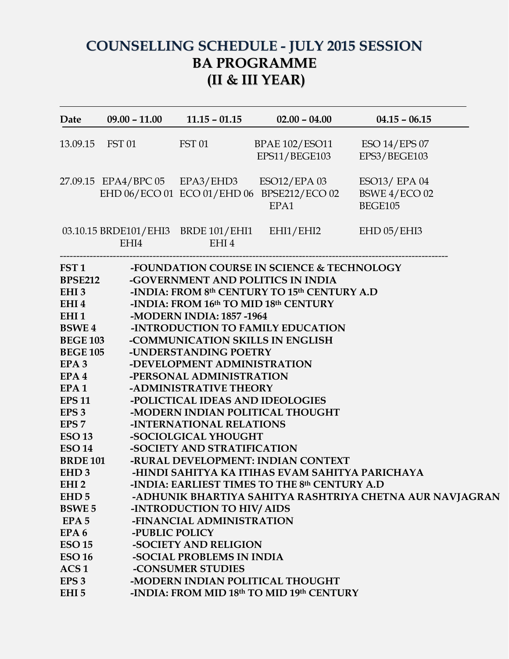## **COUNSELLING SCHEDULE - JULY 2015 SESSION BA PROGRAMME (II & III YEAR)**

| <b>Date</b>                                                                                                                                                                                                                                                                                                                                                                                                                                                               |                        |                                                                                                                                                                                                                                                                                                                                                                                                     | $09.00 - 11.00$ $11.15 - 01.15$ $02.00 - 04.00$                                                                                                                                                                                                                                                                                                                                                                                                                                                                        | $04.15 - 06.15$                                          |
|---------------------------------------------------------------------------------------------------------------------------------------------------------------------------------------------------------------------------------------------------------------------------------------------------------------------------------------------------------------------------------------------------------------------------------------------------------------------------|------------------------|-----------------------------------------------------------------------------------------------------------------------------------------------------------------------------------------------------------------------------------------------------------------------------------------------------------------------------------------------------------------------------------------------------|------------------------------------------------------------------------------------------------------------------------------------------------------------------------------------------------------------------------------------------------------------------------------------------------------------------------------------------------------------------------------------------------------------------------------------------------------------------------------------------------------------------------|----------------------------------------------------------|
|                                                                                                                                                                                                                                                                                                                                                                                                                                                                           | 13.09.15 FST 01 FST 01 |                                                                                                                                                                                                                                                                                                                                                                                                     | BPAE 102/ESO11 ESO 14/EPS 07<br>EPS11/BEGE103                                                                                                                                                                                                                                                                                                                                                                                                                                                                          | EPS3/BEGE103                                             |
|                                                                                                                                                                                                                                                                                                                                                                                                                                                                           |                        |                                                                                                                                                                                                                                                                                                                                                                                                     | 27.09.15 EPA4/BPC 05 EPA3/EHD3 ESO12/EPA 03<br>EHD 06/ECO 01 ECO 01/EHD 06 BPSE212/ECO 02<br>EPA1                                                                                                                                                                                                                                                                                                                                                                                                                      | ESO13/ EPA 04<br>BSWE 4/ECO 02<br><b>BEGE105</b>         |
|                                                                                                                                                                                                                                                                                                                                                                                                                                                                           | EHI4                   | EHI4                                                                                                                                                                                                                                                                                                                                                                                                | 03.10.15 BRDE101/EHI3 BRDE 101/EHI1 EHI1/EHI2 EHD 05/EHI3                                                                                                                                                                                                                                                                                                                                                                                                                                                              |                                                          |
| <b>BPSE212</b><br>EHI 3<br>EHI 4<br>EHI <sub>1</sub><br><b>BSWE4</b><br><b>BEGE 103</b><br><b>BEGE 105</b><br>EPA <sub>3</sub><br>$EPA$ 4<br>EPA1<br><b>EPS 11</b><br>EPS <sub>3</sub><br>EPS <sub>7</sub><br>ESO13<br><b>ESO 14</b><br><b>BRDE 101</b><br>EHD <sub>3</sub><br>EHI <sub>2</sub><br>EHD <sub>5</sub><br><b>BSWE5</b><br>EPA <sub>5</sub><br>EPA <sub>6</sub><br><b>ESO 15</b><br><b>ESO 16</b><br>ACS <sub>1</sub><br>EPS <sub>3</sub><br>EHI <sub>5</sub> | -PUBLIC POLICY         | -MODERN INDIA: 1857-1964<br>-UNDERSTANDING POETRY<br>-DEVELOPMENT ADMINISTRATION<br>-PERSONAL ADMINISTRATION<br>-ADMINISTRATIVE THEORY<br>-POLICTICAL IDEAS AND IDEOLOGIES<br>-INTERNATIONAL RELATIONS<br>-SOCIOLGICAL YHOUGHT<br>-SOCIETY AND STRATIFICATION<br>-INTRODUCTION TO HIV/ AIDS<br>-FINANCIAL ADMINISTRATION<br>-SOCIETY AND RELIGION<br>-SOCIAL PROBLEMS IN INDIA<br>-CONSUMER STUDIES | FST 1 -FOUNDATION COURSE IN SCIENCE & TECHNOLOGY<br>-GOVERNMENT AND POLITICS IN INDIA<br>-INDIA: FROM 8th CENTURY TO 15th CENTURY A.D<br>-INDIA: FROM 16th TO MID 18th CENTURY<br>-INTRODUCTION TO FAMILY EDUCATION<br>-COMMUNICATION SKILLS IN ENGLISH<br>-MODERN INDIAN POLITICAL THOUGHT<br>-RURAL DEVELOPMENT: INDIAN CONTEXT<br>-HINDI SAHITYA KA ITIHAS EVAM SAHITYA PARICHAYA<br>-INDIA: EARLIEST TIMES TO THE 8th CENTURY A.D<br>-MODERN INDIAN POLITICAL THOUGHT<br>-INDIA: FROM MID 18th TO MID 19th CENTURY | -ADHUNIK BHARTIYA SAHITYA RASHTRIYA CHETNA AUR NAVJAGRAN |